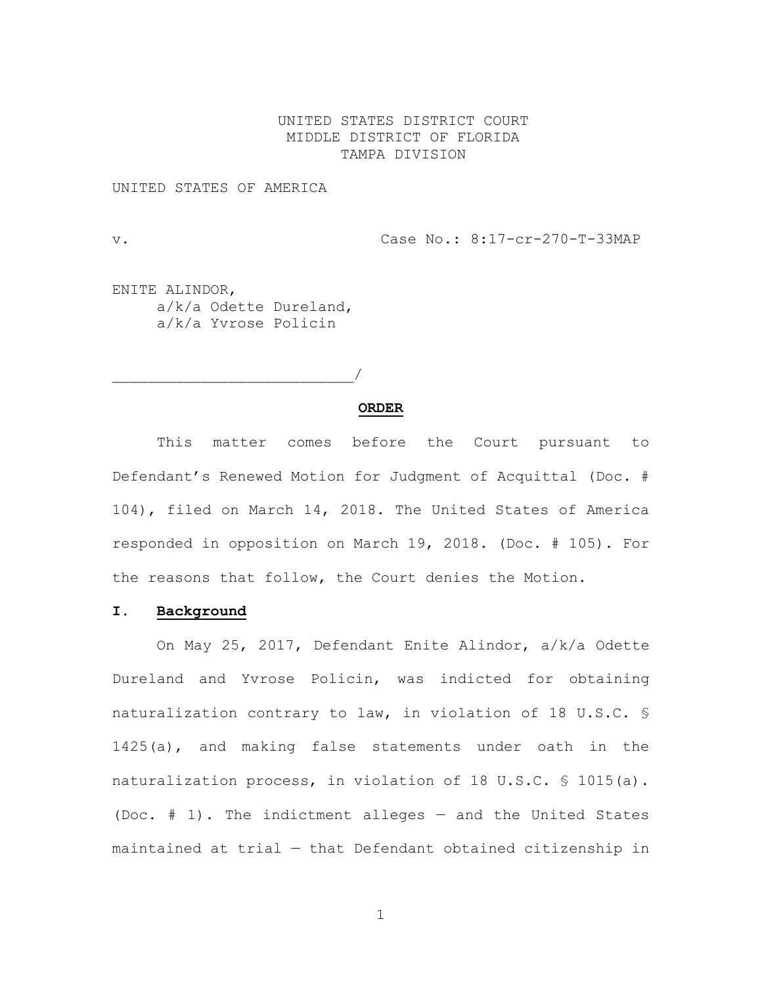# UNITED STATES DISTRICT COURT MIDDLE DISTRICT OF FLORIDA TAMPA DIVISION

UNITED STATES OF AMERICA

v. Case No.: 8:17-cr-270-T-33MAP

ENITE ALINDOR, a/k/a Odette Dureland, a/k/a Yvrose Policin

 $\overline{\phantom{a}}$ 

**ORDER**

This matter comes before the Court pursuant to Defendant's Renewed Motion for Judgment of Acquittal (Doc. # 104), filed on March 14, 2018. The United States of America responded in opposition on March 19, 2018. (Doc. # 105). For the reasons that follow, the Court denies the Motion.

# **I. Background**

On May 25, 2017, Defendant Enite Alindor, a/k/a Odette Dureland and Yvrose Policin, was indicted for obtaining naturalization contrary to law, in violation of 18 U.S.C. § 1425(a), and making false statements under oath in the naturalization process, in violation of 18 U.S.C. § 1015(a). (Doc. # 1). The indictment alleges — and the United States maintained at trial — that Defendant obtained citizenship in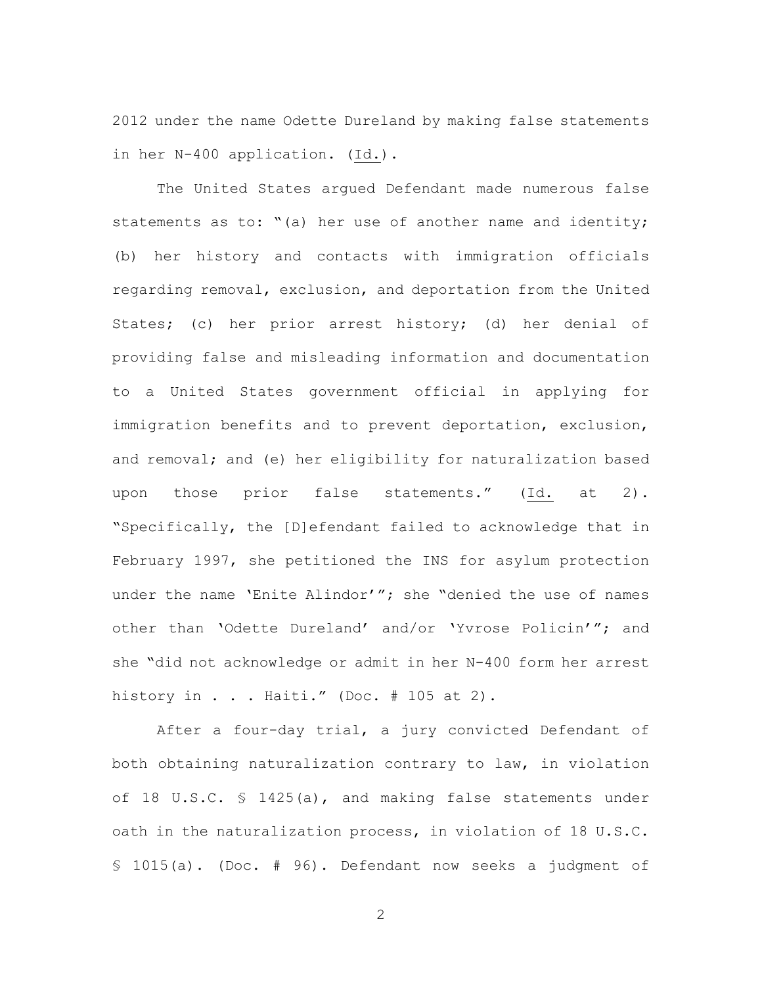2012 under the name Odette Dureland by making false statements in her N-400 application. (Id.).

The United States argued Defendant made numerous false statements as to: "(a) her use of another name and identity; (b) her history and contacts with immigration officials regarding removal, exclusion, and deportation from the United States; (c) her prior arrest history; (d) her denial of providing false and misleading information and documentation to a United States government official in applying for immigration benefits and to prevent deportation, exclusion, and removal; and (e) her eligibility for naturalization based upon those prior false statements." (Id. at 2). "Specifically, the [D]efendant failed to acknowledge that in February 1997, she petitioned the INS for asylum protection under the name 'Enite Alindor'"; she "denied the use of names other than 'Odette Dureland' and/or 'Yvrose Policin'"; and she "did not acknowledge or admit in her N-400 form her arrest history in  $\ldots$  Haiti." (Doc. # 105 at 2).

After a four-day trial, a jury convicted Defendant of both obtaining naturalization contrary to law, in violation of 18 U.S.C. § 1425(a), and making false statements under oath in the naturalization process, in violation of 18 U.S.C. § 1015(a). (Doc. # 96). Defendant now seeks a judgment of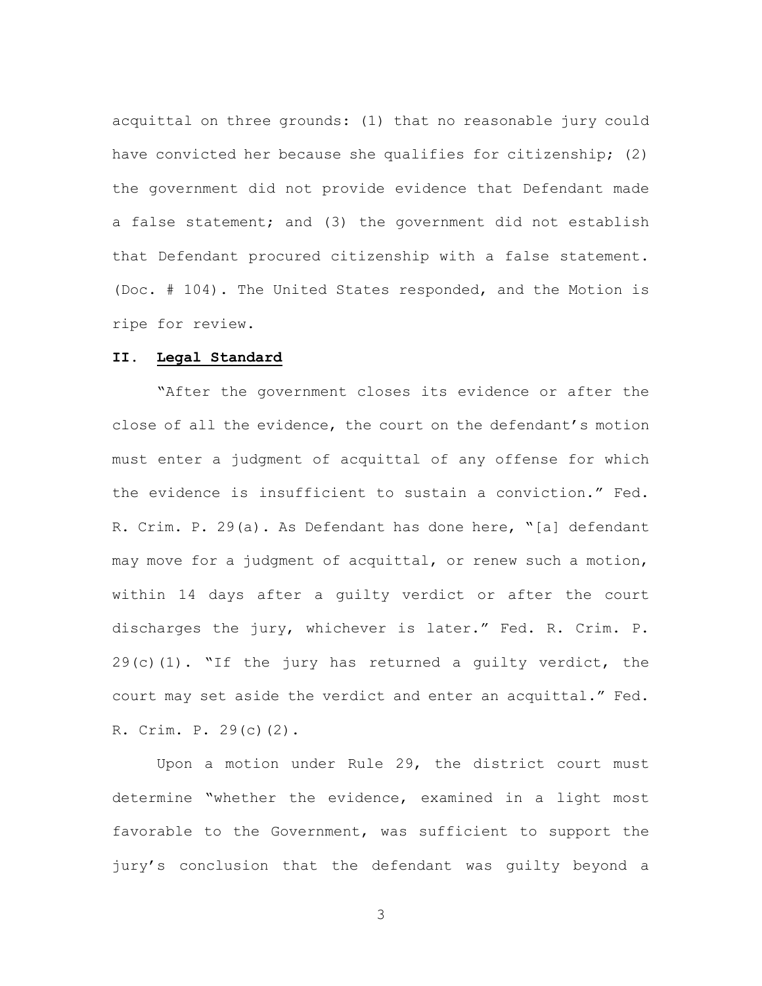acquittal on three grounds: (1) that no reasonable jury could have convicted her because she qualifies for citizenship; (2) the government did not provide evidence that Defendant made a false statement; and (3) the government did not establish that Defendant procured citizenship with a false statement. (Doc. # 104). The United States responded, and the Motion is ripe for review.

#### **II. Legal Standard**

"After the government closes its evidence or after the close of all the evidence, the court on the defendant's motion must enter a judgment of acquittal of any offense for which the evidence is insufficient to sustain a conviction." Fed. R. Crim. P. 29(a). As Defendant has done here, "[a] defendant may move for a judgment of acquittal, or renew such a motion, within 14 days after a guilty verdict or after the court discharges the jury, whichever is later." Fed. R. Crim. P.  $29(c)(1)$ . "If the jury has returned a quilty verdict, the court may set aside the verdict and enter an acquittal." Fed. R. Crim. P. 29(c)(2).

Upon a motion under Rule 29, the district court must determine "whether the evidence, examined in a light most favorable to the Government, was sufficient to support the jury's conclusion that the defendant was guilty beyond a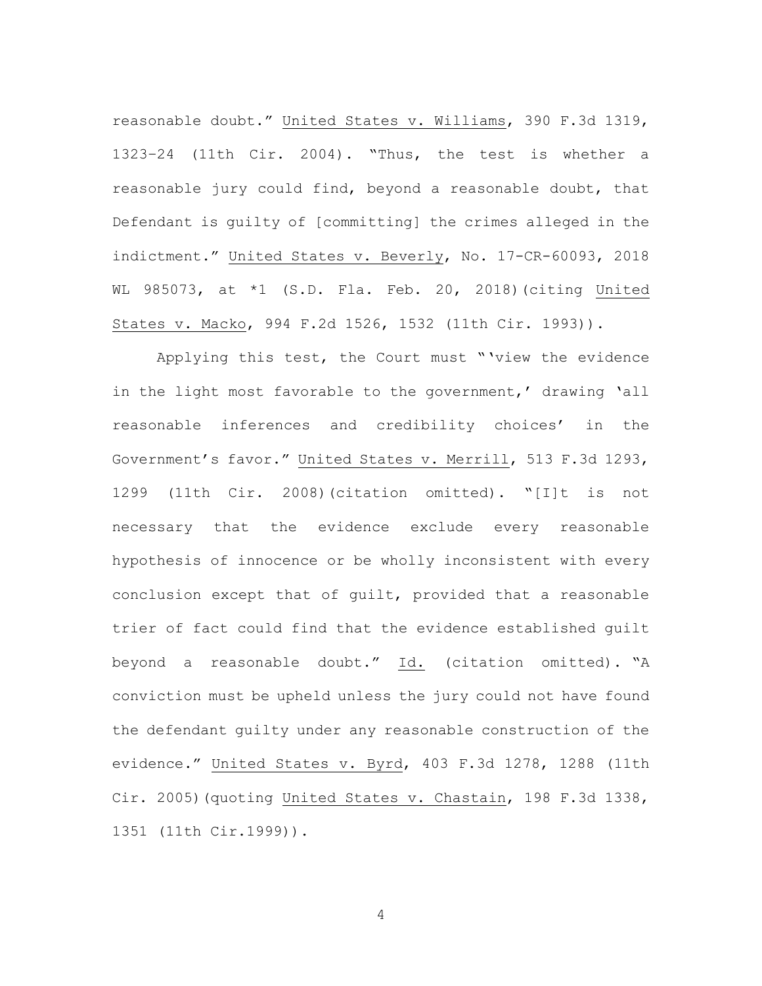reasonable doubt." United States v. Williams, 390 F.3d 1319, 1323–24 (11th Cir. 2004). "Thus, the test is whether a reasonable jury could find, beyond a reasonable doubt, that Defendant is guilty of [committing] the crimes alleged in the indictment." United States v. Beverly, No. 17-CR-60093, 2018 WL 985073, at \*1 (S.D. Fla. Feb. 20, 2018)(citing United States v. Macko, 994 F.2d 1526, 1532 (11th Cir. 1993)).

Applying this test, the Court must "'view the evidence in the light most favorable to the government,' drawing 'all reasonable inferences and credibility choices' in the Government's favor." United States v. Merrill, 513 F.3d 1293, 1299 (11th Cir. 2008)(citation omitted). "[I]t is not necessary that the evidence exclude every reasonable hypothesis of innocence or be wholly inconsistent with every conclusion except that of guilt, provided that a reasonable trier of fact could find that the evidence established guilt beyond a reasonable doubt." Id. (citation omitted). "A conviction must be upheld unless the jury could not have found the defendant guilty under any reasonable construction of the evidence." United States v. Byrd, 403 F.3d 1278, 1288 (11th Cir. 2005)(quoting United States v. Chastain, 198 F.3d 1338, 1351 (11th Cir.1999)).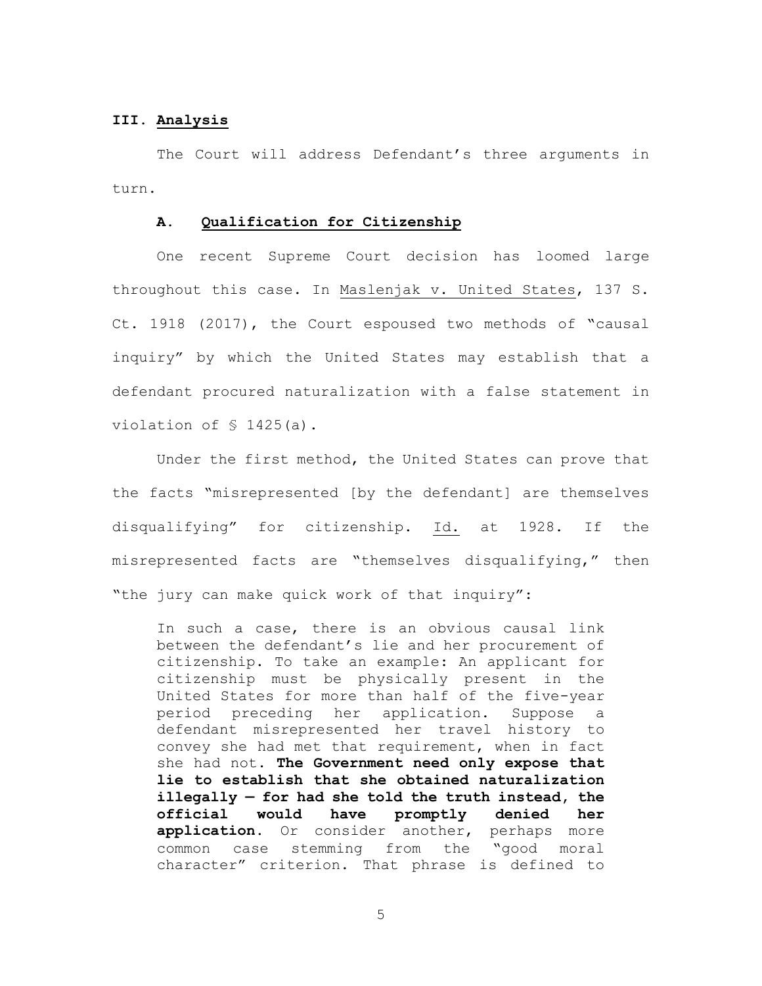# **III. Analysis**

The Court will address Defendant's three arguments in turn.

### **A. Qualification for Citizenship**

One recent Supreme Court decision has loomed large throughout this case. In Maslenjak v. United States, 137 S. Ct. 1918 (2017), the Court espoused two methods of "causal inquiry" by which the United States may establish that a defendant procured naturalization with a false statement in violation of § 1425(a).

Under the first method, the United States can prove that the facts "misrepresented [by the defendant] are themselves disqualifying" for citizenship. Id. at 1928. If the misrepresented facts are "themselves disqualifying," then "the jury can make quick work of that inquiry":

In such a case, there is an obvious causal link between the defendant's lie and her procurement of citizenship. To take an example: An applicant for citizenship must be physically present in the United States for more than half of the five-year period preceding her application. Suppose a defendant misrepresented her travel history to convey she had met that requirement, when in fact she had not. **The Government need only expose that lie to establish that she obtained naturalization illegally — for had she told the truth instead, the official would have promptly denied her application.** Or consider another, perhaps more common case stemming from the "good moral character" criterion. That phrase is defined to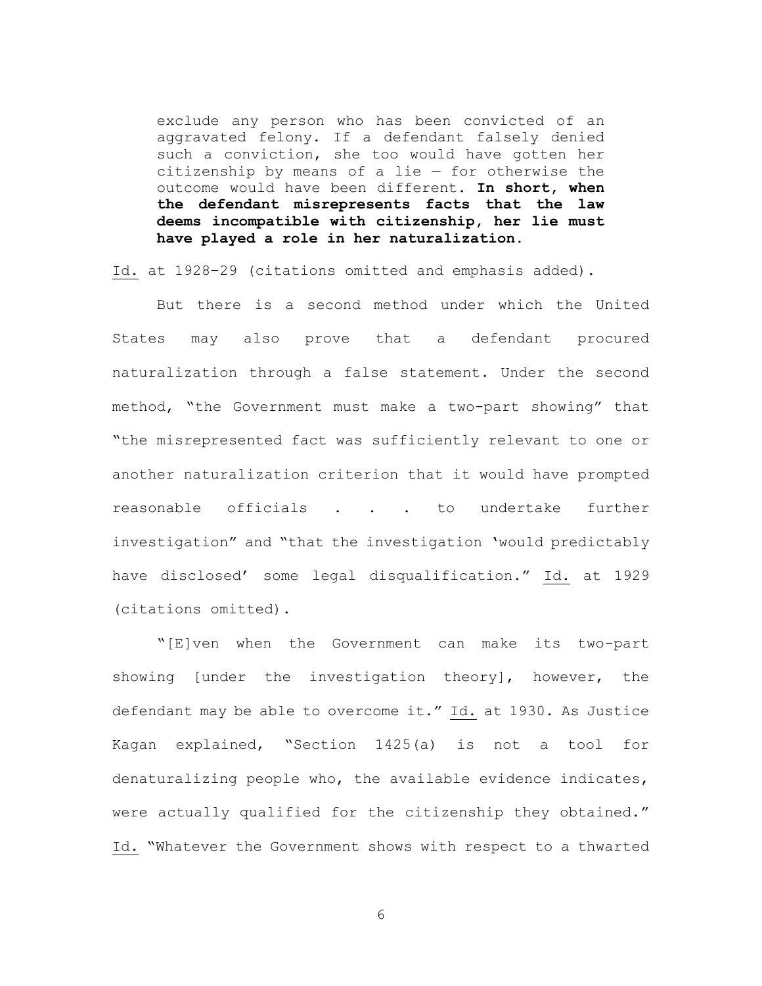exclude any person who has been convicted of an aggravated felony. If a defendant falsely denied such a conviction, she too would have gotten her citizenship by means of a lie  $-$  for otherwise the outcome would have been different. **In short, when the defendant misrepresents facts that the law deems incompatible with citizenship, her lie must have played a role in her naturalization.**

Id. at 1928–29 (citations omitted and emphasis added).

But there is a second method under which the United States may also prove that a defendant procured naturalization through a false statement. Under the second method, "the Government must make a two-part showing" that "the misrepresented fact was sufficiently relevant to one or another naturalization criterion that it would have prompted reasonable officials . . . to undertake further investigation" and "that the investigation 'would predictably have disclosed' some legal disqualification." Id. at 1929 (citations omitted).

"[E]ven when the Government can make its two-part showing [under the investigation theory], however, the defendant may be able to overcome it." Id. at 1930. As Justice Kagan explained, "Section 1425(a) is not a tool for denaturalizing people who, the available evidence indicates, were actually qualified for the citizenship they obtained." Id. "Whatever the Government shows with respect to a thwarted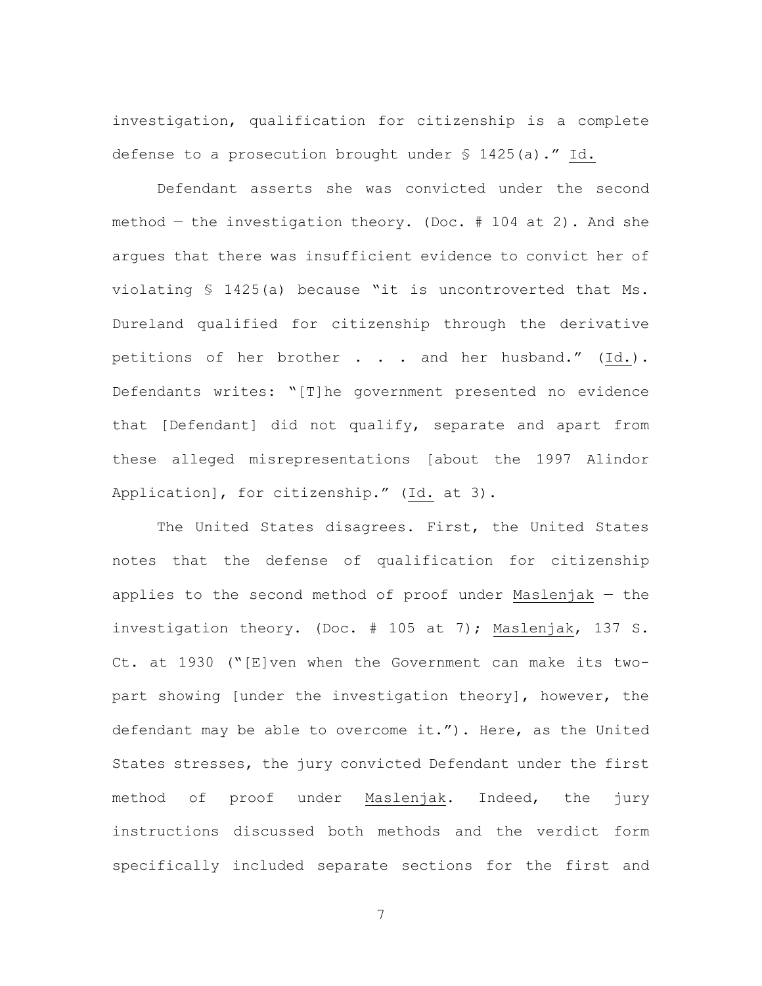investigation, qualification for citizenship is a complete defense to a prosecution brought under § 1425(a)." Id.

Defendant asserts she was convicted under the second method  $-$  the investigation theory. (Doc.  $#$  104 at 2). And she argues that there was insufficient evidence to convict her of violating § 1425(a) because "it is uncontroverted that Ms. Dureland qualified for citizenship through the derivative petitions of her brother . . . and her husband." (Id.). Defendants writes: "[T]he government presented no evidence that [Defendant] did not qualify, separate and apart from these alleged misrepresentations [about the 1997 Alindor Application], for citizenship." (Id. at 3).

The United States disagrees. First, the United States notes that the defense of qualification for citizenship applies to the second method of proof under Maslenjak — the investigation theory. (Doc. # 105 at 7); Maslenjak, 137 S. Ct. at 1930 ("[E]ven when the Government can make its twopart showing [under the investigation theory], however, the defendant may be able to overcome it."). Here, as the United States stresses, the jury convicted Defendant under the first method of proof under Maslenjak. Indeed, the jury instructions discussed both methods and the verdict form specifically included separate sections for the first and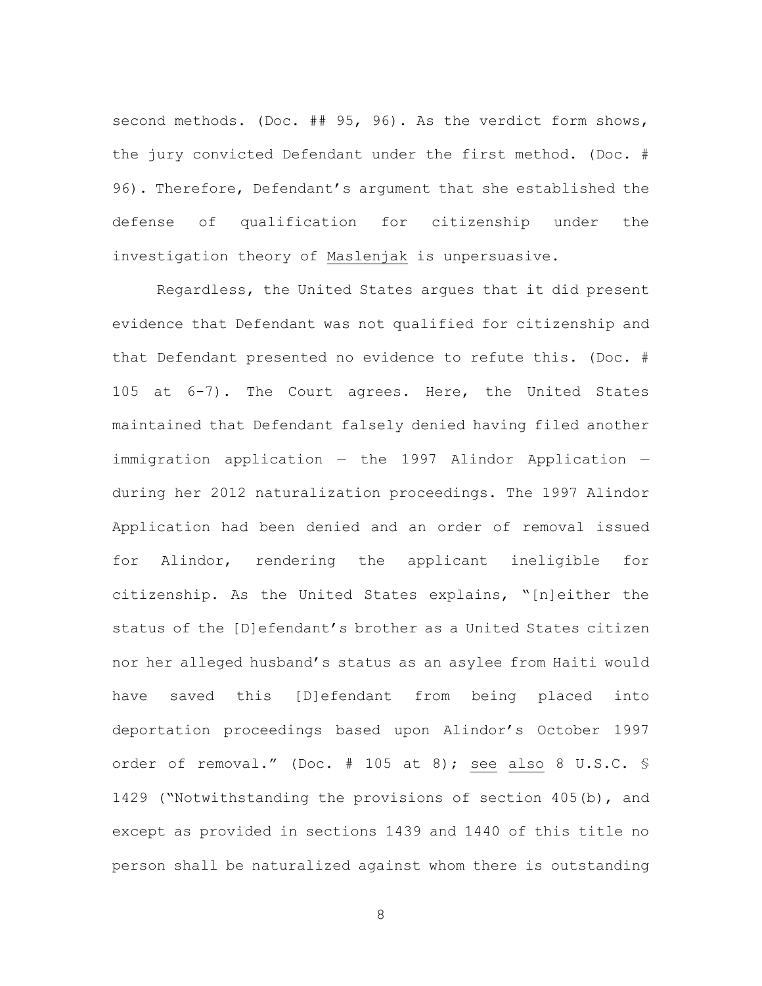second methods. (Doc. ## 95, 96). As the verdict form shows, the jury convicted Defendant under the first method. (Doc. # 96). Therefore, Defendant's argument that she established the defense of qualification for citizenship under the investigation theory of Maslenjak is unpersuasive.

Regardless, the United States argues that it did present evidence that Defendant was not qualified for citizenship and that Defendant presented no evidence to refute this. (Doc. # 105 at 6-7). The Court agrees. Here, the United States maintained that Defendant falsely denied having filed another immigration application — the 1997 Alindor Application during her 2012 naturalization proceedings. The 1997 Alindor Application had been denied and an order of removal issued for Alindor, rendering the applicant ineligible for citizenship. As the United States explains, "[n]either the status of the [D]efendant's brother as a United States citizen nor her alleged husband's status as an asylee from Haiti would have saved this [D]efendant from being placed into deportation proceedings based upon Alindor's October 1997 order of removal." (Doc. # 105 at 8); see also 8 U.S.C. § 1429 ("Notwithstanding the provisions of section 405(b), and except as provided in sections 1439 and 1440 of this title no person shall be naturalized against whom there is outstanding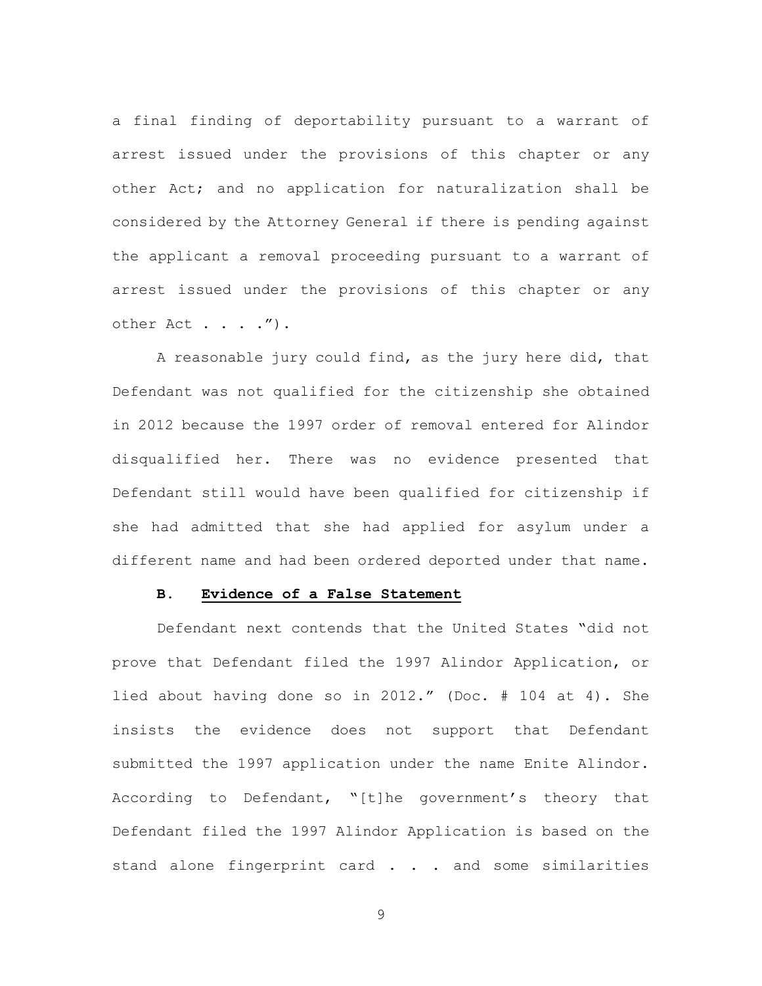a final finding of deportability pursuant to a warrant of arrest issued under the provisions of this chapter or any other Act; and no application for naturalization shall be considered by the Attorney General if there is pending against the applicant a removal proceeding pursuant to a warrant of arrest issued under the provisions of this chapter or any other Act . . . . ") .

A reasonable jury could find, as the jury here did, that Defendant was not qualified for the citizenship she obtained in 2012 because the 1997 order of removal entered for Alindor disqualified her. There was no evidence presented that Defendant still would have been qualified for citizenship if she had admitted that she had applied for asylum under a different name and had been ordered deported under that name.

# **B. Evidence of a False Statement**

Defendant next contends that the United States "did not prove that Defendant filed the 1997 Alindor Application, or lied about having done so in 2012." (Doc. # 104 at 4). She insists the evidence does not support that Defendant submitted the 1997 application under the name Enite Alindor. According to Defendant, "[t]he government's theory that Defendant filed the 1997 Alindor Application is based on the stand alone fingerprint card . . . and some similarities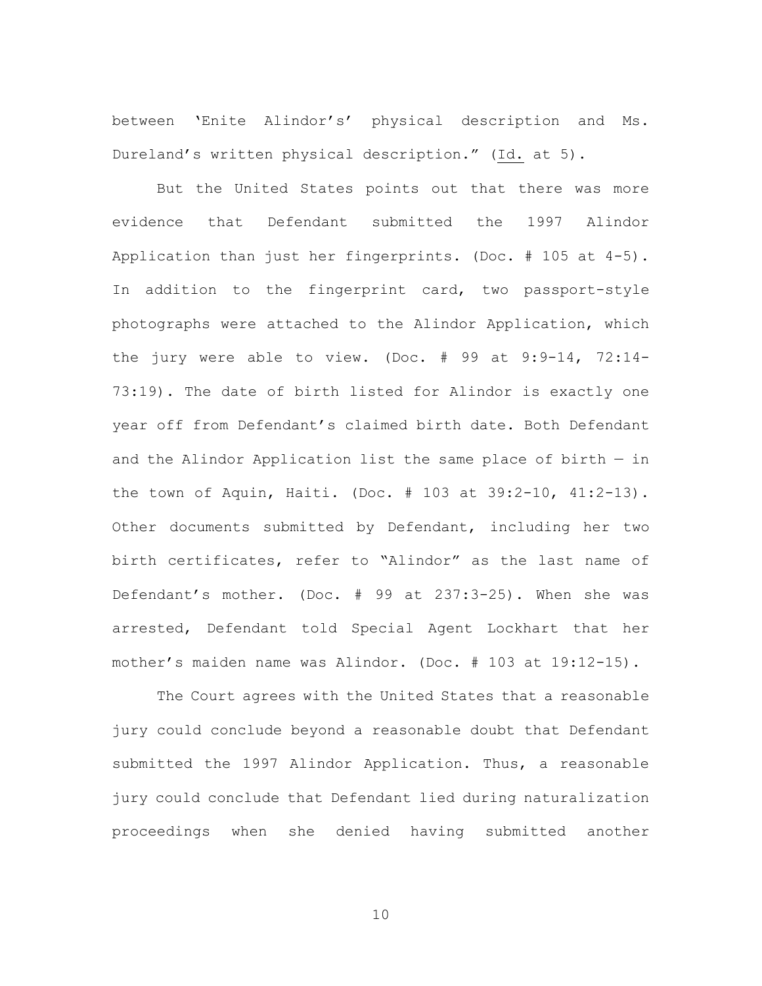between 'Enite Alindor's' physical description and Ms. Dureland's written physical description." (Id. at 5).

But the United States points out that there was more evidence that Defendant submitted the 1997 Alindor Application than just her fingerprints. (Doc. # 105 at 4-5). In addition to the fingerprint card, two passport-style photographs were attached to the Alindor Application, which the jury were able to view. (Doc. # 99 at 9:9-14, 72:14- 73:19). The date of birth listed for Alindor is exactly one year off from Defendant's claimed birth date. Both Defendant and the Alindor Application list the same place of birth — in the town of Aquin, Haiti. (Doc. # 103 at 39:2-10, 41:2-13). Other documents submitted by Defendant, including her two birth certificates, refer to "Alindor" as the last name of Defendant's mother. (Doc. # 99 at 237:3-25). When she was arrested, Defendant told Special Agent Lockhart that her mother's maiden name was Alindor. (Doc. # 103 at 19:12-15).

The Court agrees with the United States that a reasonable jury could conclude beyond a reasonable doubt that Defendant submitted the 1997 Alindor Application. Thus, a reasonable jury could conclude that Defendant lied during naturalization proceedings when she denied having submitted another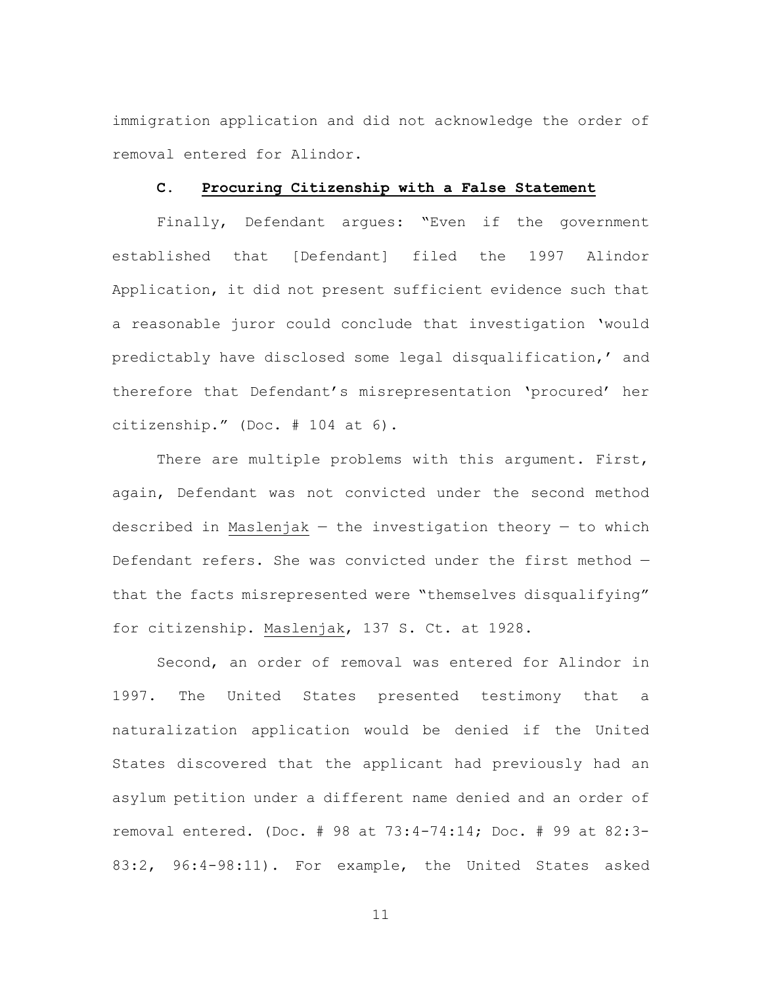immigration application and did not acknowledge the order of removal entered for Alindor.

### **C. Procuring Citizenship with a False Statement**

Finally, Defendant argues: "Even if the government established that [Defendant] filed the 1997 Alindor Application, it did not present sufficient evidence such that a reasonable juror could conclude that investigation 'would predictably have disclosed some legal disqualification,' and therefore that Defendant's misrepresentation 'procured' her citizenship." (Doc. # 104 at 6).

There are multiple problems with this argument. First, again, Defendant was not convicted under the second method described in Maslenjak  $-$  the investigation theory  $-$  to which Defendant refers. She was convicted under the first method that the facts misrepresented were "themselves disqualifying" for citizenship. Maslenjak, 137 S. Ct. at 1928.

Second, an order of removal was entered for Alindor in 1997. The United States presented testimony that a naturalization application would be denied if the United States discovered that the applicant had previously had an asylum petition under a different name denied and an order of removal entered. (Doc. # 98 at 73:4-74:14; Doc. # 99 at 82:3- 83:2, 96:4-98:11). For example, the United States asked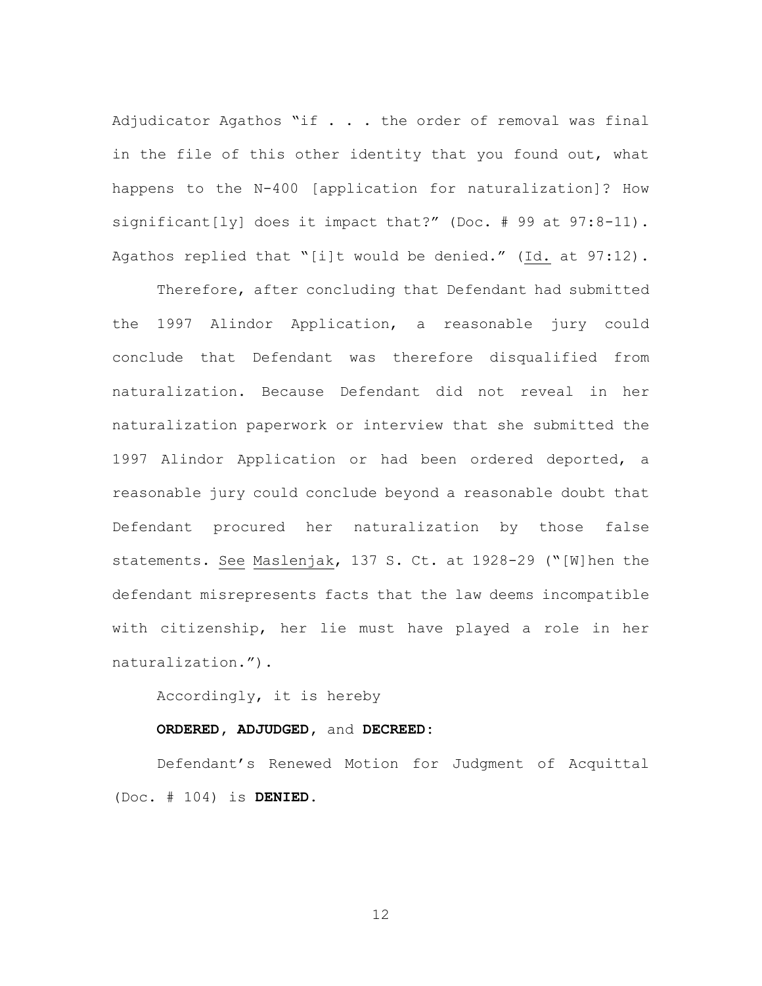Adjudicator Agathos "if . . . the order of removal was final in the file of this other identity that you found out, what happens to the N-400 [application for naturalization]? How significant[ly] does it impact that?" (Doc. # 99 at 97:8-11). Agathos replied that "[i]t would be denied." (Id. at 97:12).

Therefore, after concluding that Defendant had submitted the 1997 Alindor Application, a reasonable jury could conclude that Defendant was therefore disqualified from naturalization. Because Defendant did not reveal in her naturalization paperwork or interview that she submitted the 1997 Alindor Application or had been ordered deported, a reasonable jury could conclude beyond a reasonable doubt that Defendant procured her naturalization by those false statements. See Maslenjak, 137 S. Ct. at 1928-29 ("[W]hen the defendant misrepresents facts that the law deems incompatible with citizenship, her lie must have played a role in her naturalization.").

Accordingly, it is hereby

#### **ORDERED, ADJUDGED,** and **DECREED:**

Defendant's Renewed Motion for Judgment of Acquittal (Doc. # 104) is **DENIED.**